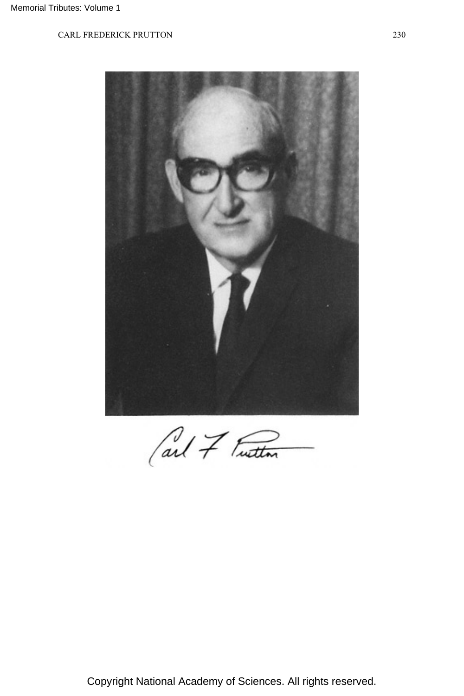

Carl 7 Futton

Copyright National Academy of Sciences. All rights reserved.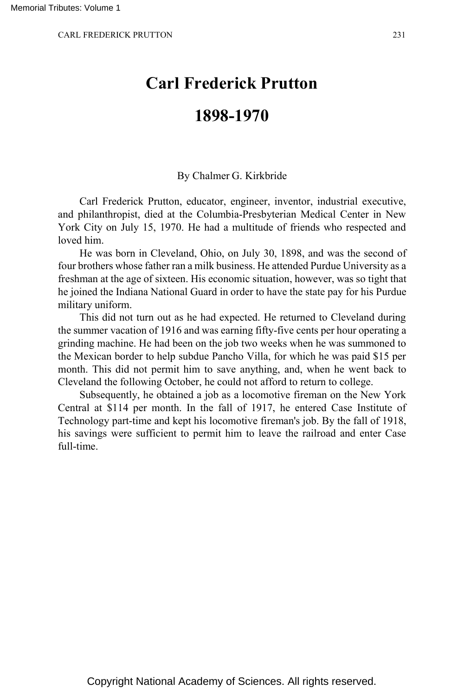# **Carl Frederick Prutton**

## **1898-1970**

#### By Chalmer G. Kirkbride

Carl Frederick Prutton, educator, engineer, inventor, industrial executive, and philanthropist, died at the Columbia-Presbyterian Medical Center in New York City on July 15, 1970. He had a multitude of friends who respected and loved him.

He was born in Cleveland, Ohio, on July 30, 1898, and was the second of four brothers whose father ran a milk business. He attended Purdue University as a freshman at the age of sixteen. His economic situation, however, was so tight that he joined the Indiana National Guard in order to have the state pay for his Purdue military uniform.

This did not turn out as he had expected. He returned to Cleveland during the summer vacation of 1916 and was earning fifty-five cents per hour operating a grinding machine. He had been on the job two weeks when he was summoned to the Mexican border to help subdue Pancho Villa, for which he was paid \$15 per month. This did not permit him to save anything, and, when he went back to Cleveland the following October, he could not afford to return to college.

Subsequently, he obtained a job as a locomotive fireman on the New York Central at \$114 per month. In the fall of 1917, he entered Case Institute of Technology part-time and kept his locomotive fireman's job. By the fall of 1918, his savings were sufficient to permit him to leave the railroad and enter Case full-time.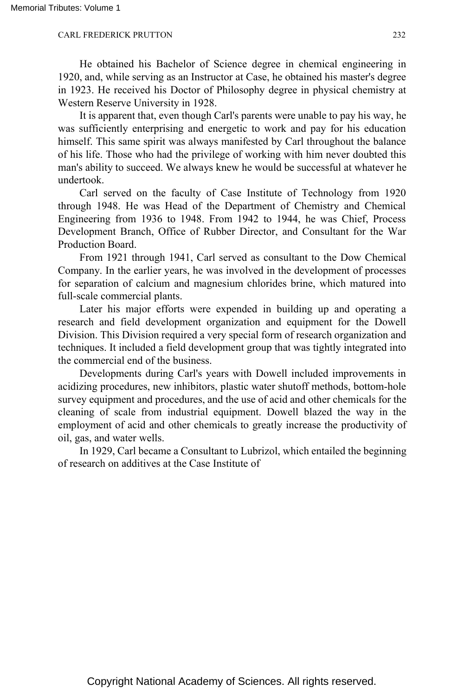He obtained his Bachelor of Science degree in chemical engineering in 1920, and, while serving as an Instructor at Case, he obtained his master's degree in 1923. He received his Doctor of Philosophy degree in physical chemistry at Western Reserve University in 1928.

It is apparent that, even though Carl's parents were unable to pay his way, he was sufficiently enterprising and energetic to work and pay for his education himself. This same spirit was always manifested by Carl throughout the balance of his life. Those who had the privilege of working with him never doubted this man's ability to succeed. We always knew he would be successful at whatever he undertook.

Carl served on the faculty of Case Institute of Technology from 1920 through 1948. He was Head of the Department of Chemistry and Chemical Engineering from 1936 to 1948. From 1942 to 1944, he was Chief, Process Development Branch, Office of Rubber Director, and Consultant for the War Production Board.

From 1921 through 1941, Carl served as consultant to the Dow Chemical Company. In the earlier years, he was involved in the development of processes for separation of calcium and magnesium chlorides brine, which matured into full-scale commercial plants.

Later his major efforts were expended in building up and operating a research and field development organization and equipment for the Dowell Division. This Division required a very special form of research organization and techniques. It included a field development group that was tightly integrated into the commercial end of the business.

Developments during Carl's years with Dowell included improvements in acidizing procedures, new inhibitors, plastic water shutoff methods, bottom-hole survey equipment and procedures, and the use of acid and other chemicals for the cleaning of scale from industrial equipment. Dowell blazed the way in the employment of acid and other chemicals to greatly increase the productivity of oil, gas, and water wells.

In 1929, Carl became a Consultant to Lubrizol, which entailed the beginning of research on additives at the Case Institute of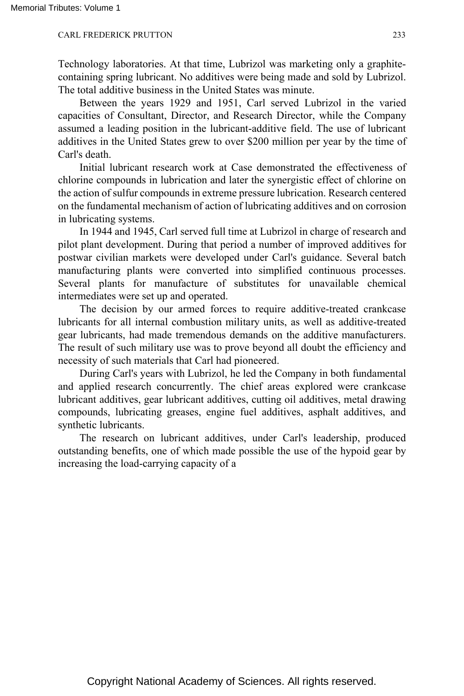Technology laboratories. At that time, Lubrizol was marketing only a graphitecontaining spring lubricant. No additives were being made and sold by Lubrizol. The total additive business in the United States was minute.

Between the years 1929 and 1951, Carl served Lubrizol in the varied capacities of Consultant, Director, and Research Director, while the Company assumed a leading position in the lubricant-additive field. The use of lubricant additives in the United States grew to over \$200 million per year by the time of Carl's death.

Initial lubricant research work at Case demonstrated the effectiveness of chlorine compounds in lubrication and later the synergistic effect of chlorine on the action of sulfur compounds in extreme pressure lubrication. Research centered on the fundamental mechanism of action of lubricating additives and on corrosion in lubricating systems.

In 1944 and 1945, Carl served full time at Lubrizol in charge of research and pilot plant development. During that period a number of improved additives for postwar civilian markets were developed under Carl's guidance. Several batch manufacturing plants were converted into simplified continuous processes. Several plants for manufacture of substitutes for unavailable chemical intermediates were set up and operated.

The decision by our armed forces to require additive-treated crankcase lubricants for all internal combustion military units, as well as additive-treated gear lubricants, had made tremendous demands on the additive manufacturers. The result of such military use was to prove beyond all doubt the efficiency and necessity of such materials that Carl had pioneered.

During Carl's years with Lubrizol, he led the Company in both fundamental and applied research concurrently. The chief areas explored were crankcase lubricant additives, gear lubricant additives, cutting oil additives, metal drawing compounds, lubricating greases, engine fuel additives, asphalt additives, and synthetic lubricants.

The research on lubricant additives, under Carl's leadership, produced outstanding benefits, one of which made possible the use of the hypoid gear by increasing the load-carrying capacity of a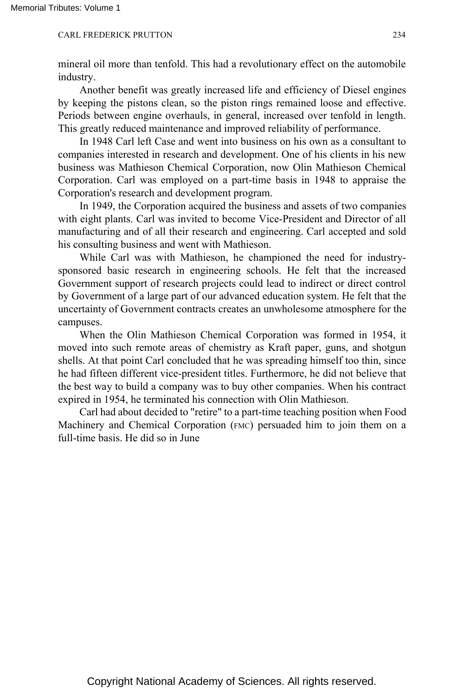mineral oil more than tenfold. This had a revolutionary effect on the automobile industry.

Another benefit was greatly increased life and efficiency of Diesel engines by keeping the pistons clean, so the piston rings remained loose and effective. Periods between engine overhauls, in general, increased over tenfold in length. This greatly reduced maintenance and improved reliability of performance.

In 1948 Carl left Case and went into business on his own as a consultant to companies interested in research and development. One of his clients in his new business was Mathieson Chemical Corporation, now Olin Mathieson Chemical Corporation. Carl was employed on a part-time basis in 1948 to appraise the Corporation's research and development program.

In 1949, the Corporation acquired the business and assets of two companies with eight plants. Carl was invited to become Vice-President and Director of all manufacturing and of all their research and engineering. Carl accepted and sold his consulting business and went with Mathieson.

While Carl was with Mathieson, he championed the need for industrysponsored basic research in engineering schools. He felt that the increased Government support of research projects could lead to indirect or direct control by Government of a large part of our advanced education system. He felt that the uncertainty of Government contracts creates an unwholesome atmosphere for the campuses.

When the Olin Mathieson Chemical Corporation was formed in 1954, it moved into such remote areas of chemistry as Kraft paper, guns, and shotgun shells. At that point Carl concluded that he was spreading himself too thin, since he had fifteen different vice-president titles. Furthermore, he did not believe that the best way to build a company was to buy other companies. When his contract expired in 1954, he terminated his connection with Olin Mathieson.

Carl had about decided to "retire" to a part-time teaching position when Food Machinery and Chemical Corporation (FMC) persuaded him to join them on a full-time basis. He did so in June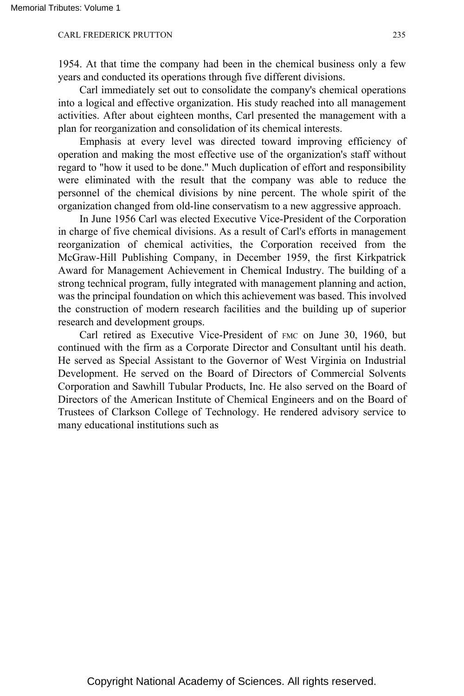1954. At that time the company had been in the chemical business only a few years and conducted its operations through five different divisions.

Carl immediately set out to consolidate the company's chemical operations into a logical and effective organization. His study reached into all management activities. After about eighteen months, Carl presented the management with a plan for reorganization and consolidation of its chemical interests.

Emphasis at every level was directed toward improving efficiency of operation and making the most effective use of the organization's staff without regard to "how it used to be done." Much duplication of effort and responsibility were eliminated with the result that the company was able to reduce the personnel of the chemical divisions by nine percent. The whole spirit of the organization changed from old-line conservatism to a new aggressive approach.

In June 1956 Carl was elected Executive Vice-President of the Corporation in charge of five chemical divisions. As a result of Carl's efforts in management reorganization of chemical activities, the Corporation received from the McGraw-Hill Publishing Company, in December 1959, the first Kirkpatrick Award for Management Achievement in Chemical Industry. The building of a strong technical program, fully integrated with management planning and action, was the principal foundation on which this achievement was based. This involved the construction of modern research facilities and the building up of superior research and development groups.

Carl retired as Executive Vice-President of FMC on June 30, 1960, but continued with the firm as a Corporate Director and Consultant until his death. He served as Special Assistant to the Governor of West Virginia on Industrial Development. He served on the Board of Directors of Commercial Solvents Corporation and Sawhill Tubular Products, Inc. He also served on the Board of Directors of the American Institute of Chemical Engineers and on the Board of Trustees of Clarkson College of Technology. He rendered advisory service to many educational institutions such as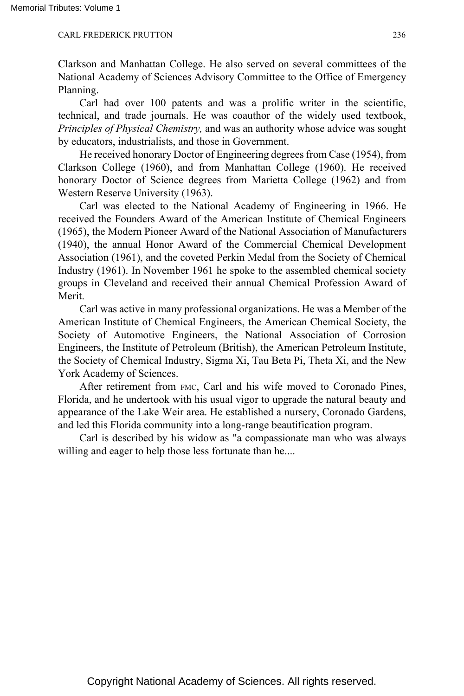Clarkson and Manhattan College. He also served on several committees of the National Academy of Sciences Advisory Committee to the Office of Emergency Planning.

Carl had over 100 patents and was a prolific writer in the scientific, technical, and trade journals. He was coauthor of the widely used textbook, *Principles of Physical Chemistry,* and was an authority whose advice was sought by educators, industrialists, and those in Government.

He received honorary Doctor of Engineering degrees from Case (1954), from Clarkson College (1960), and from Manhattan College (1960). He received honorary Doctor of Science degrees from Marietta College (1962) and from Western Reserve University (1963).

Carl was elected to the National Academy of Engineering in 1966. He received the Founders Award of the American Institute of Chemical Engineers (1965), the Modern Pioneer Award of the National Association of Manufacturers (1940), the annual Honor Award of the Commercial Chemical Development Association (1961), and the coveted Perkin Medal from the Society of Chemical Industry (1961). In November 1961 he spoke to the assembled chemical society groups in Cleveland and received their annual Chemical Profession Award of Merit.

Carl was active in many professional organizations. He was a Member of the American Institute of Chemical Engineers, the American Chemical Society, the Society of Automotive Engineers, the National Association of Corrosion Engineers, the Institute of Petroleum (British), the American Petroleum Institute, the Society of Chemical Industry, Sigma Xi, Tau Beta Pi, Theta Xi, and the New York Academy of Sciences.

After retirement from FMC, Carl and his wife moved to Coronado Pines, Florida, and he undertook with his usual vigor to upgrade the natural beauty and appearance of the Lake Weir area. He established a nursery, Coronado Gardens, and led this Florida community into a long-range beautification program.

Carl is described by his widow as "a compassionate man who was always willing and eager to help those less fortunate than he....